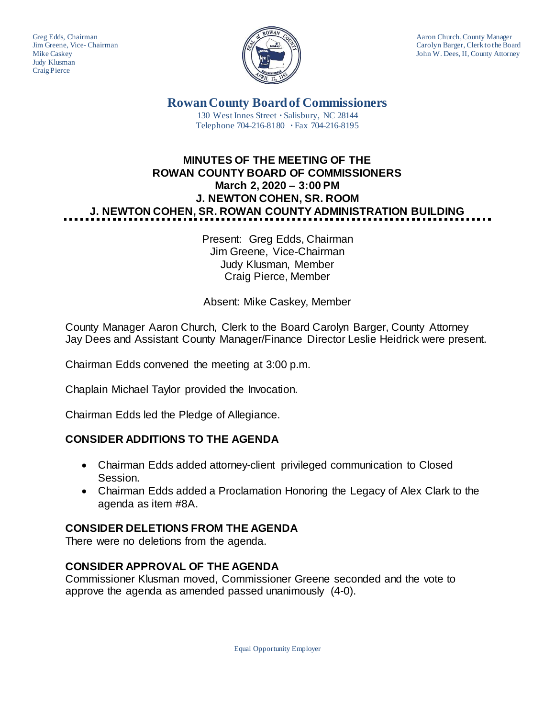Judy Klusman Craig Pierce



Greg Edds, Chairman Aaron Church, County Manager<br>Jim Greene, Vice-Chairman Aaron Church, County Manager and Aaron Church, County Manager Jim Greene, Vice- Chairman Carolyn Barger, Clerk to the Board Mike Caskey Carolyn Barger, Clerk to the Board Mike Caskey John W. Dees, II, County Attorney

> **Rowan County Board of Commissioners** 130 West Innes Street **∙** Salisbury, NC 28144 Telephone 704-216-8180 **∙** Fax 704-216-8195

# **MINUTES OF THE MEETING OF THE ROWAN COUNTY BOARD OF COMMISSIONERS March 2, 2020 – 3:00 PM J. NEWTON COHEN, SR. ROOM J. NEWTON COHEN, SR. ROWAN COUNTY ADMINISTRATION BUILDING**

Present: Greg Edds, Chairman Jim Greene, Vice-Chairman Judy Klusman, Member Craig Pierce, Member

Absent: Mike Caskey, Member

County Manager Aaron Church, Clerk to the Board Carolyn Barger, County Attorney Jay Dees and Assistant County Manager/Finance Director Leslie Heidrick were present.

Chairman Edds convened the meeting at 3:00 p.m.

Chaplain Michael Taylor provided the Invocation.

Chairman Edds led the Pledge of Allegiance.

# **CONSIDER ADDITIONS TO THE AGENDA**

- Chairman Edds added attorney-client privileged communication to Closed Session.
- Chairman Edds added a Proclamation Honoring the Legacy of Alex Clark to the agenda as item #8A.

# **CONSIDER DELETIONS FROM THE AGENDA**

There were no deletions from the agenda.

# **CONSIDER APPROVAL OF THE AGENDA**

Commissioner Klusman moved, Commissioner Greene seconded and the vote to approve the agenda as amended passed unanimously (4-0).

Equal Opportunity Employer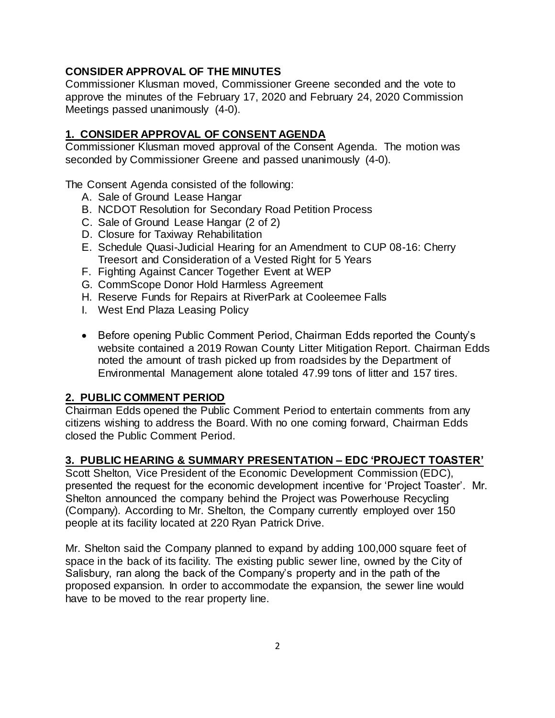### **CONSIDER APPROVAL OF THE MINUTES**

Commissioner Klusman moved, Commissioner Greene seconded and the vote to approve the minutes of the February 17, 2020 and February 24, 2020 Commission Meetings passed unanimously (4-0).

# **1. CONSIDER APPROVAL OF CONSENT AGENDA**

Commissioner Klusman moved approval of the Consent Agenda. The motion was seconded by Commissioner Greene and passed unanimously (4-0).

The Consent Agenda consisted of the following:

- A. Sale of Ground Lease Hangar
- B. NCDOT Resolution for Secondary Road Petition Process
- C. Sale of Ground Lease Hangar (2 of 2)
- D. Closure for Taxiway Rehabilitation
- E. Schedule Quasi-Judicial Hearing for an Amendment to CUP 08-16: Cherry Treesort and Consideration of a Vested Right for 5 Years
- F. Fighting Against Cancer Together Event at WEP
- G. CommScope Donor Hold Harmless Agreement
- H. Reserve Funds for Repairs at RiverPark at Cooleemee Falls
- I. West End Plaza Leasing Policy
- Before opening Public Comment Period, Chairman Edds reported the County's website contained a 2019 Rowan County Litter Mitigation Report. Chairman Edds noted the amount of trash picked up from roadsides by the Department of Environmental Management alone totaled 47.99 tons of litter and 157 tires.

# **2. PUBLIC COMMENT PERIOD**

Chairman Edds opened the Public Comment Period to entertain comments from any citizens wishing to address the Board. With no one coming forward, Chairman Edds closed the Public Comment Period.

### **3. PUBLIC HEARING & SUMMARY PRESENTATION – EDC 'PROJECT TOASTER'**

Scott Shelton, Vice President of the Economic Development Commission (EDC), presented the request for the economic development incentive for 'Project Toaster'. Mr. Shelton announced the company behind the Project was Powerhouse Recycling (Company). According to Mr. Shelton, the Company currently employed over 150 people at its facility located at 220 Ryan Patrick Drive.

Mr. Shelton said the Company planned to expand by adding 100,000 square feet of space in the back of its facility. The existing public sewer line, owned by the City of Salisbury, ran along the back of the Company's property and in the path of the proposed expansion. In order to accommodate the expansion, the sewer line would have to be moved to the rear property line.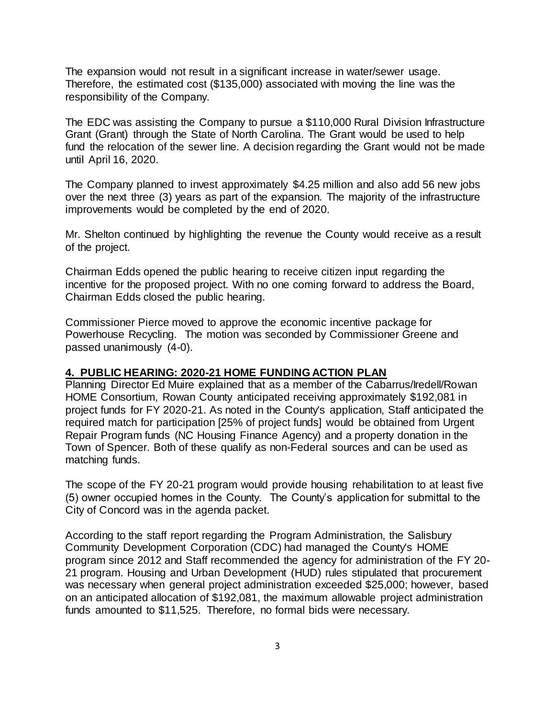The expansion would not result in a significant increase in water/sewer usage. Therefore, the estimated cost (\$135,000) associated with moving the line was the responsibility of the Company.

The EDC was assisting the Company to pursue a \$110,000 Rural Division Infrastructure Grant (Grant) through the State of North Carolina. The Grant would be used to help fund the relocation of the sewer line. A decision regarding the Grant would not be made until April 16, 2020.

The Company planned to invest approximately \$4.25 million and also add 56 new jobs over the next three (3) years as part of the expansion. The majority of the infrastructure improvements would be completed by the end of 2020.

Mr. Shelton continued by highlighting the revenue the County would receive as a result of the project.

Chairman Edds opened the public hearing to receive citizen input regarding the incentive for the proposed project. With no one coming forward to address the Board, Chairman Edds closed the public hearing.

Commissioner Pierce moved to approve the economic incentive package for Powerhouse Recycling. The motion was seconded by Commissioner Greene and passed unanimously (4-0).

#### **4. PUBLIC HEARING: 2020-21 HOME FUNDING ACTION PLAN**

Planning Director Ed Muire explained that as a member of the Cabarrus/Iredell/Rowan HOME Consortium, Rowan County anticipated receiving approximately \$192,081 in project funds for FY 2020-21. As noted in the County's application, Staff anticipated the required match for participation [25% of project funds] would be obtained from Urgent Repair Program funds (NC Housing Finance Agency) and a property donation in the Town of Spencer. Both of these qualify as non-Federal sources and can be used as matching funds.

The scope of the FY 20-21 program would provide housing rehabilitation to at least five (5) owner occupied homes in the County. The County's application for submittal to the City of Concord was in the agenda packet.

According to the staff report regarding the Program Administration, the Salisbury Community Development Corporation (CDC) had managed the County's HOME program since 2012 and Staff recommended the agency for administration of the FY 20- 21 program. Housing and Urban Development (HUD) rules stipulated that procurement was necessary when general project administration exceeded \$25,000; however, based on an anticipated allocation of \$192,081, the maximum allowable project administration funds amounted to \$11,525. Therefore, no formal bids were necessary.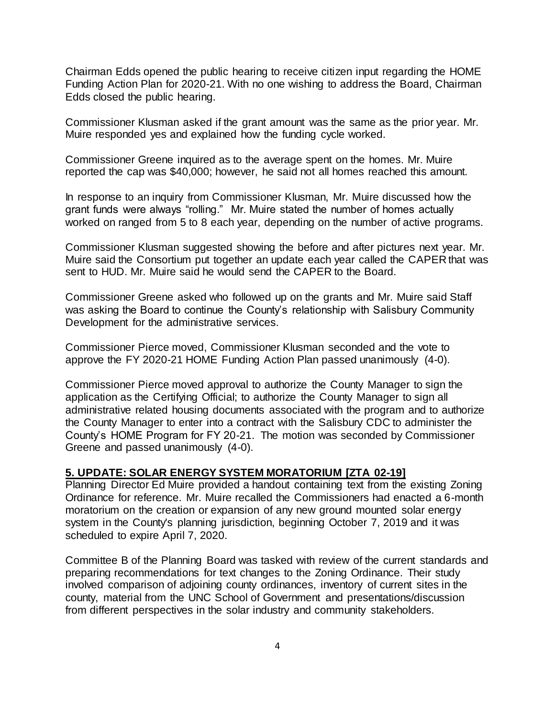Chairman Edds opened the public hearing to receive citizen input regarding the HOME Funding Action Plan for 2020-21. With no one wishing to address the Board, Chairman Edds closed the public hearing.

Commissioner Klusman asked if the grant amount was the same as the prior year. Mr. Muire responded yes and explained how the funding cycle worked.

Commissioner Greene inquired as to the average spent on the homes. Mr. Muire reported the cap was \$40,000; however, he said not all homes reached this amount.

In response to an inquiry from Commissioner Klusman, Mr. Muire discussed how the grant funds were always "rolling." Mr. Muire stated the number of homes actually worked on ranged from 5 to 8 each year, depending on the number of active programs.

Commissioner Klusman suggested showing the before and after pictures next year. Mr. Muire said the Consortium put together an update each year called the CAPER that was sent to HUD. Mr. Muire said he would send the CAPER to the Board.

Commissioner Greene asked who followed up on the grants and Mr. Muire said Staff was asking the Board to continue the County's relationship with Salisbury Community Development for the administrative services.

Commissioner Pierce moved, Commissioner Klusman seconded and the vote to approve the FY 2020-21 HOME Funding Action Plan passed unanimously (4-0).

Commissioner Pierce moved approval to authorize the County Manager to sign the application as the Certifying Official; to authorize the County Manager to sign all administrative related housing documents associated with the program and to authorize the County Manager to enter into a contract with the Salisbury CDC to administer the County's HOME Program for FY 20-21. The motion was seconded by Commissioner Greene and passed unanimously (4-0).

## **5. UPDATE: SOLAR ENERGY SYSTEM MORATORIUM [ZTA 02-19]**

Planning Director Ed Muire provided a handout containing text from the existing Zoning Ordinance for reference. Mr. Muire recalled the Commissioners had enacted a 6-month moratorium on the creation or expansion of any new ground mounted solar energy system in the County's planning jurisdiction, beginning October 7, 2019 and it was scheduled to expire April 7, 2020.

Committee B of the Planning Board was tasked with review of the current standards and preparing recommendations for text changes to the Zoning Ordinance. Their study involved comparison of adjoining county ordinances, inventory of current sites in the county, material from the UNC School of Government and presentations/discussion from different perspectives in the solar industry and community stakeholders.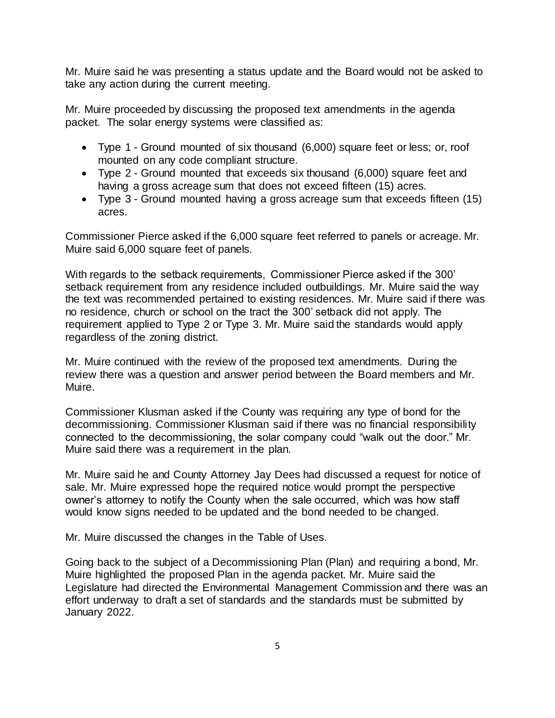Mr. Muire said he was presenting a status update and the Board would not be asked to take any action during the current meeting.

Mr. Muire proceeded by discussing the proposed text amendments in the agenda packet. The solar energy systems were classified as:

- Type 1 Ground mounted of six thousand (6,000) square feet or less; or, roof mounted on any code compliant structure.
- Type 2 Ground mounted that exceeds six thousand (6,000) square feet and having a gross acreage sum that does not exceed fifteen (15) acres.
- Type 3 Ground mounted having a gross acreage sum that exceeds fifteen (15) acres.

Commissioner Pierce asked if the 6,000 square feet referred to panels or acreage. Mr. Muire said 6,000 square feet of panels.

With regards to the setback requirements, Commissioner Pierce asked if the 300' setback requirement from any residence included outbuildings. Mr. Muire said the way the text was recommended pertained to existing residences. Mr. Muire said if there was no residence, church or school on the tract the 300' setback did not apply. The requirement applied to Type 2 or Type 3. Mr. Muire said the standards would apply regardless of the zoning district.

Mr. Muire continued with the review of the proposed text amendments. During the review there was a question and answer period between the Board members and Mr. Muire.

Commissioner Klusman asked if the County was requiring any type of bond for the decommissioning. Commissioner Klusman said if there was no financial responsibility connected to the decommissioning, the solar company could "walk out the door." Mr. Muire said there was a requirement in the plan.

Mr. Muire said he and County Attorney Jay Dees had discussed a request for notice of sale. Mr. Muire expressed hope the required notice would prompt the perspective owner's attorney to notify the County when the sale occurred, which was how staff would know signs needed to be updated and the bond needed to be changed.

Mr. Muire discussed the changes in the Table of Uses.

Going back to the subject of a Decommissioning Plan (Plan) and requiring a bond, Mr. Muire highlighted the proposed Plan in the agenda packet. Mr. Muire said the Legislature had directed the Environmental Management Commission and there was an effort underway to draft a set of standards and the standards must be submitted by January 2022.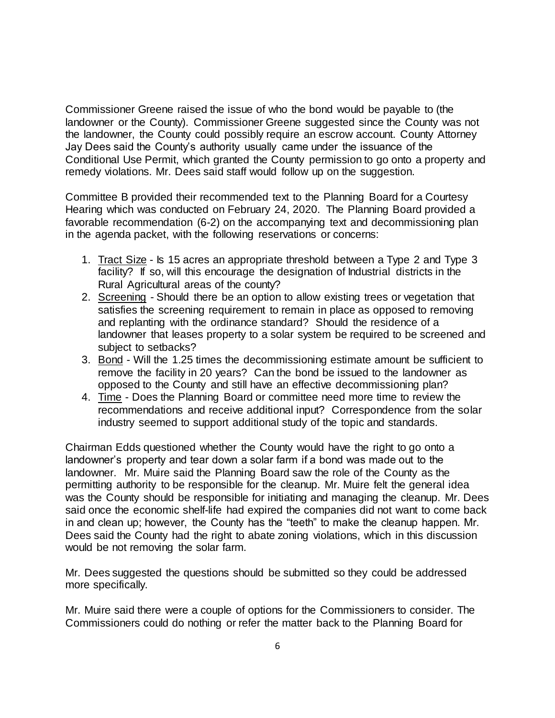Commissioner Greene raised the issue of who the bond would be payable to (the landowner or the County). Commissioner Greene suggested since the County was not the landowner, the County could possibly require an escrow account. County Attorney Jay Dees said the County's authority usually came under the issuance of the Conditional Use Permit, which granted the County permission to go onto a property and remedy violations. Mr. Dees said staff would follow up on the suggestion.

Committee B provided their recommended text to the Planning Board for a Courtesy Hearing which was conducted on February 24, 2020. The Planning Board provided a favorable recommendation (6-2) on the accompanying text and decommissioning plan in the agenda packet, with the following reservations or concerns:

- 1. Tract Size Is 15 acres an appropriate threshold between a Type 2 and Type 3 facility? If so, will this encourage the designation of Industrial districts in the Rural Agricultural areas of the county?
- 2. Screening Should there be an option to allow existing trees or vegetation that satisfies the screening requirement to remain in place as opposed to removing and replanting with the ordinance standard? Should the residence of a landowner that leases property to a solar system be required to be screened and subject to setbacks?
- 3. Bond Will the 1.25 times the decommissioning estimate amount be sufficient to remove the facility in 20 years? Can the bond be issued to the landowner as opposed to the County and still have an effective decommissioning plan?
- 4. Time Does the Planning Board or committee need more time to review the recommendations and receive additional input? Correspondence from the solar industry seemed to support additional study of the topic and standards.

Chairman Edds questioned whether the County would have the right to go onto a landowner's property and tear down a solar farm if a bond was made out to the landowner. Mr. Muire said the Planning Board saw the role of the County as the permitting authority to be responsible for the cleanup. Mr. Muire felt the general idea was the County should be responsible for initiating and managing the cleanup. Mr. Dees said once the economic shelf-life had expired the companies did not want to come back in and clean up; however, the County has the "teeth" to make the cleanup happen. Mr. Dees said the County had the right to abate zoning violations, which in this discussion would be not removing the solar farm.

Mr. Dees suggested the questions should be submitted so they could be addressed more specifically.

Mr. Muire said there were a couple of options for the Commissioners to consider. The Commissioners could do nothing or refer the matter back to the Planning Board for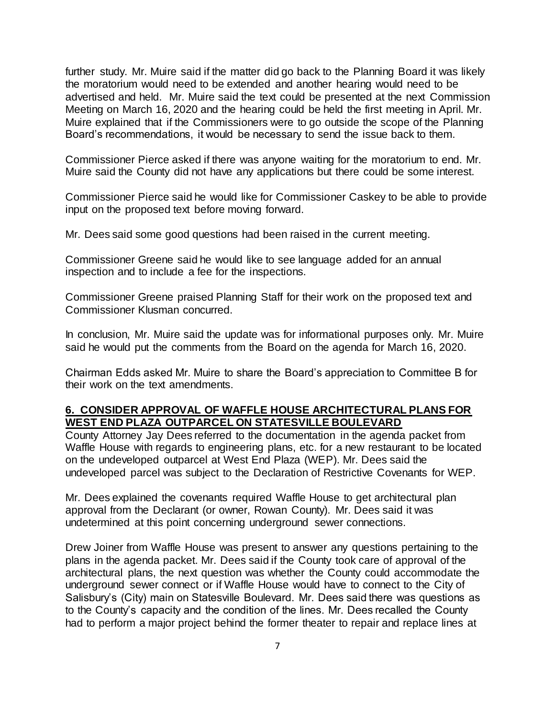further study. Mr. Muire said if the matter did go back to the Planning Board it was likely the moratorium would need to be extended and another hearing would need to be advertised and held. Mr. Muire said the text could be presented at the next Commission Meeting on March 16, 2020 and the hearing could be held the first meeting in April. Mr. Muire explained that if the Commissioners were to go outside the scope of the Planning Board's recommendations, it would be necessary to send the issue back to them.

Commissioner Pierce asked if there was anyone waiting for the moratorium to end. Mr. Muire said the County did not have any applications but there could be some interest.

Commissioner Pierce said he would like for Commissioner Caskey to be able to provide input on the proposed text before moving forward.

Mr. Dees said some good questions had been raised in the current meeting.

Commissioner Greene said he would like to see language added for an annual inspection and to include a fee for the inspections.

Commissioner Greene praised Planning Staff for their work on the proposed text and Commissioner Klusman concurred.

In conclusion, Mr. Muire said the update was for informational purposes only. Mr. Muire said he would put the comments from the Board on the agenda for March 16, 2020.

Chairman Edds asked Mr. Muire to share the Board's appreciation to Committee B for their work on the text amendments.

### **6. CONSIDER APPROVAL OF WAFFLE HOUSE ARCHITECTURAL PLANS FOR WEST END PLAZA OUTPARCEL ON STATESVILLE BOULEVARD**

County Attorney Jay Dees referred to the documentation in the agenda packet from Waffle House with regards to engineering plans, etc. for a new restaurant to be located on the undeveloped outparcel at West End Plaza (WEP). Mr. Dees said the undeveloped parcel was subject to the Declaration of Restrictive Covenants for WEP.

Mr. Dees explained the covenants required Waffle House to get architectural plan approval from the Declarant (or owner, Rowan County). Mr. Dees said it was undetermined at this point concerning underground sewer connections.

Drew Joiner from Waffle House was present to answer any questions pertaining to the plans in the agenda packet. Mr. Dees said if the County took care of approval of the architectural plans, the next question was whether the County could accommodate the underground sewer connect or if Waffle House would have to connect to the City of Salisbury's (City) main on Statesville Boulevard. Mr. Dees said there was questions as to the County's capacity and the condition of the lines. Mr. Dees recalled the County had to perform a major project behind the former theater to repair and replace lines at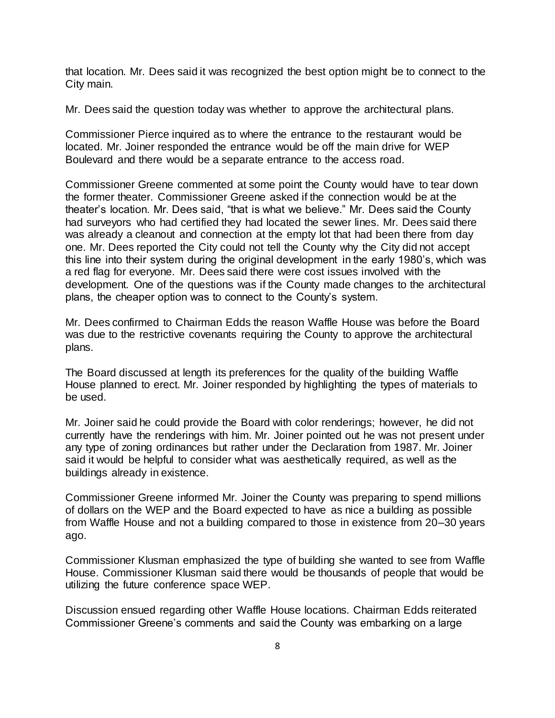that location. Mr. Dees said it was recognized the best option might be to connect to the City main.

Mr. Dees said the question today was whether to approve the architectural plans.

Commissioner Pierce inquired as to where the entrance to the restaurant would be located. Mr. Joiner responded the entrance would be off the main drive for WEP Boulevard and there would be a separate entrance to the access road.

Commissioner Greene commented at some point the County would have to tear down the former theater. Commissioner Greene asked if the connection would be at the theater's location. Mr. Dees said, "that is what we believe." Mr. Dees said the County had surveyors who had certified they had located the sewer lines. Mr. Dees said there was already a cleanout and connection at the empty lot that had been there from day one. Mr. Dees reported the City could not tell the County why the City did not accept this line into their system during the original development in the early 1980's, which was a red flag for everyone. Mr. Dees said there were cost issues involved with the development. One of the questions was if the County made changes to the architectural plans, the cheaper option was to connect to the County's system.

Mr. Dees confirmed to Chairman Edds the reason Waffle House was before the Board was due to the restrictive covenants requiring the County to approve the architectural plans.

The Board discussed at length its preferences for the quality of the building Waffle House planned to erect. Mr. Joiner responded by highlighting the types of materials to be used.

Mr. Joiner said he could provide the Board with color renderings; however, he did not currently have the renderings with him. Mr. Joiner pointed out he was not present under any type of zoning ordinances but rather under the Declaration from 1987. Mr. Joiner said it would be helpful to consider what was aesthetically required, as well as the buildings already in existence.

Commissioner Greene informed Mr. Joiner the County was preparing to spend millions of dollars on the WEP and the Board expected to have as nice a building as possible from Waffle House and not a building compared to those in existence from 20–30 years ago.

Commissioner Klusman emphasized the type of building she wanted to see from Waffle House. Commissioner Klusman said there would be thousands of people that would be utilizing the future conference space WEP.

Discussion ensued regarding other Waffle House locations. Chairman Edds reiterated Commissioner Greene's comments and said the County was embarking on a large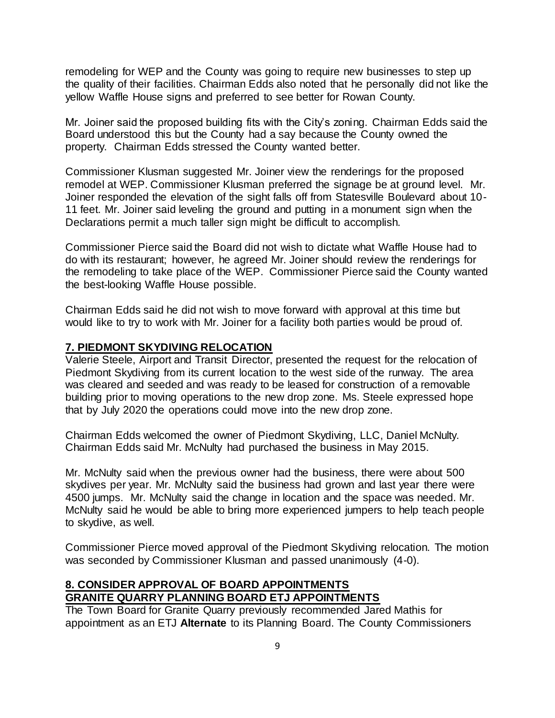remodeling for WEP and the County was going to require new businesses to step up the quality of their facilities. Chairman Edds also noted that he personally did not like the yellow Waffle House signs and preferred to see better for Rowan County.

Mr. Joiner said the proposed building fits with the City's zoning. Chairman Edds said the Board understood this but the County had a say because the County owned the property. Chairman Edds stressed the County wanted better.

Commissioner Klusman suggested Mr. Joiner view the renderings for the proposed remodel at WEP. Commissioner Klusman preferred the signage be at ground level. Mr. Joiner responded the elevation of the sight falls off from Statesville Boulevard about 10- 11 feet. Mr. Joiner said leveling the ground and putting in a monument sign when the Declarations permit a much taller sign might be difficult to accomplish.

Commissioner Pierce said the Board did not wish to dictate what Waffle House had to do with its restaurant; however, he agreed Mr. Joiner should review the renderings for the remodeling to take place of the WEP. Commissioner Pierce said the County wanted the best-looking Waffle House possible.

Chairman Edds said he did not wish to move forward with approval at this time but would like to try to work with Mr. Joiner for a facility both parties would be proud of.

#### **7. PIEDMONT SKYDIVING RELOCATION**

Valerie Steele, Airport and Transit Director, presented the request for the relocation of Piedmont Skydiving from its current location to the west side of the runway. The area was cleared and seeded and was ready to be leased for construction of a removable building prior to moving operations to the new drop zone. Ms. Steele expressed hope that by July 2020 the operations could move into the new drop zone.

Chairman Edds welcomed the owner of Piedmont Skydiving, LLC, Daniel McNulty. Chairman Edds said Mr. McNulty had purchased the business in May 2015.

Mr. McNulty said when the previous owner had the business, there were about 500 skydives per year. Mr. McNulty said the business had grown and last year there were 4500 jumps. Mr. McNulty said the change in location and the space was needed. Mr. McNulty said he would be able to bring more experienced jumpers to help teach people to skydive, as well.

Commissioner Pierce moved approval of the Piedmont Skydiving relocation. The motion was seconded by Commissioner Klusman and passed unanimously (4-0).

### **8. CONSIDER APPROVAL OF BOARD APPOINTMENTS GRANITE QUARRY PLANNING BOARD ETJ APPOINTMENTS**

The Town Board for Granite Quarry previously recommended Jared Mathis for appointment as an ETJ **Alternate** to its Planning Board. The County Commissioners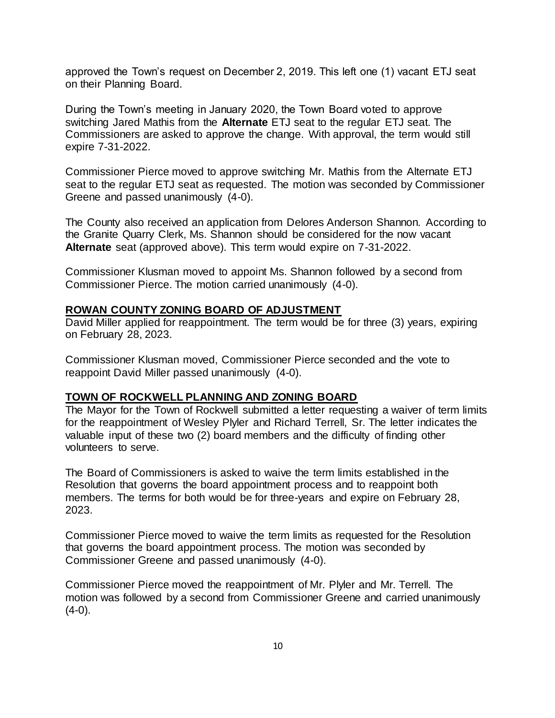approved the Town's request on December 2, 2019. This left one (1) vacant ETJ seat on their Planning Board.

During the Town's meeting in January 2020, the Town Board voted to approve switching Jared Mathis from the **Alternate** ETJ seat to the regular ETJ seat. The Commissioners are asked to approve the change. With approval, the term would still expire 7-31-2022.

Commissioner Pierce moved to approve switching Mr. Mathis from the Alternate ETJ seat to the regular ETJ seat as requested. The motion was seconded by Commissioner Greene and passed unanimously (4-0).

The County also received an application from Delores Anderson Shannon. According to the Granite Quarry Clerk, Ms. Shannon should be considered for the now vacant **Alternate** seat (approved above). This term would expire on 7-31-2022.

Commissioner Klusman moved to appoint Ms. Shannon followed by a second from Commissioner Pierce. The motion carried unanimously (4-0).

### **ROWAN COUNTY ZONING BOARD OF ADJUSTMENT**

David Miller applied for reappointment. The term would be for three (3) years, expiring on February 28, 2023.

Commissioner Klusman moved, Commissioner Pierce seconded and the vote to reappoint David Miller passed unanimously (4-0).

#### **TOWN OF ROCKWELL PLANNING AND ZONING BOARD**

The Mayor for the Town of Rockwell submitted a letter requesting a waiver of term limits for the reappointment of Wesley Plyler and Richard Terrell, Sr. The letter indicates the valuable input of these two (2) board members and the difficulty of finding other volunteers to serve.

The Board of Commissioners is asked to waive the term limits established in the Resolution that governs the board appointment process and to reappoint both members. The terms for both would be for three-years and expire on February 28, 2023.

Commissioner Pierce moved to waive the term limits as requested for the Resolution that governs the board appointment process. The motion was seconded by Commissioner Greene and passed unanimously (4-0).

Commissioner Pierce moved the reappointment of Mr. Plyler and Mr. Terrell. The motion was followed by a second from Commissioner Greene and carried unanimously  $(4-0)$ .